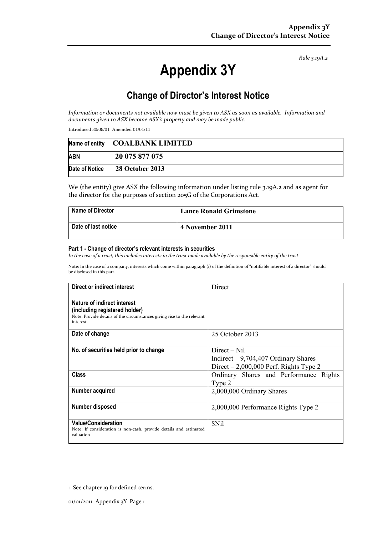*Rule 3.19A.2*

# **Appendix 3Y**

# **Change of Director's Interest Notice**

*Information or documents not available now must be given to ASX as soon as available. Information and documents given to ASX become ASX's property and may be made public.* 

Introduced 30/09/01 Amended 01/01/11

|            | Name of entity COALBANK LIMITED |
|------------|---------------------------------|
| <b>ABN</b> | 20 075 877 075                  |
|            | Date of Notice 28 October 2013  |

We (the entity) give ASX the following information under listing rule 3.19A.2 and as agent for the director for the purposes of section 205G of the Corporations Act.

| <b>Name of Director</b> | <b>Lance Ronald Grimstone</b> |
|-------------------------|-------------------------------|
| Date of last notice     | 4 November 2011               |

#### **Part 1 - Change of director's relevant interests in securities**

*In the case of a trust, this includes interests in the trust made available by the responsible entity of the trust* 

Note: In the case of a company, interests which come within paragraph (i) of the definition of "notifiable interest of a director" should be disclosed in this part.

| Direct or indirect interest                                            | Direct                                  |
|------------------------------------------------------------------------|-----------------------------------------|
|                                                                        |                                         |
| Nature of indirect interest                                            |                                         |
| (including registered holder)                                          |                                         |
| Note: Provide details of the circumstances giving rise to the relevant |                                         |
| interest.                                                              |                                         |
| Date of change                                                         | 25 October 2013                         |
|                                                                        |                                         |
| No. of securities held prior to change                                 | $Direct - Nil$                          |
|                                                                        |                                         |
|                                                                        | Indirect $-9,704,407$ Ordinary Shares   |
|                                                                        | Direct $-2,000,000$ Perf. Rights Type 2 |
| <b>Class</b>                                                           | Ordinary Shares and Performance Rights  |
|                                                                        | Type 2                                  |
| Number acquired                                                        | 2,000,000 Ordinary Shares               |
|                                                                        |                                         |
| Number disposed                                                        | 2,000,000 Performance Rights Type 2     |
|                                                                        |                                         |
| <b>Value/Consideration</b>                                             | <b>SNil</b>                             |
| Note: If consideration is non-cash, provide details and estimated      |                                         |
| valuation                                                              |                                         |
|                                                                        |                                         |

<sup>+</sup> See chapter 19 for defined terms.